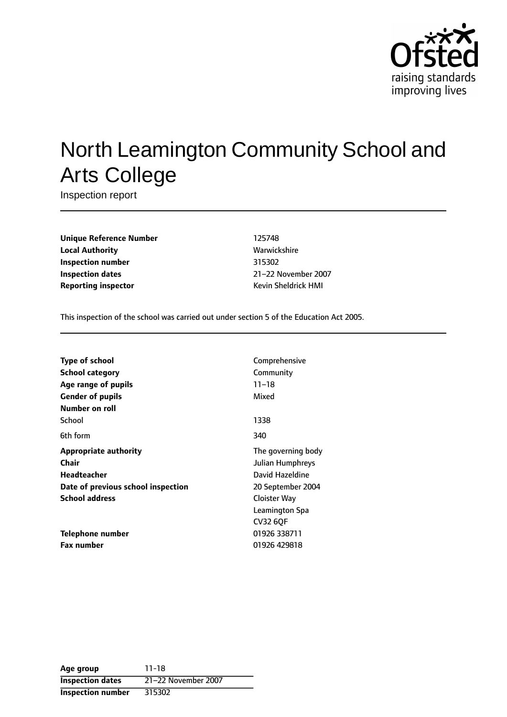

# North Leamington Community School and Arts College

Inspection report

**Unique Reference Number** 125748 **Local Authority Mathority** Warwickshire **Inspection number** 315302 **Inspection dates** 21-22 November 2007 **Reporting inspector CONFIDENTIAL REPORTING KEVIN Sheldrick HMI** 

This inspection of the school was carried out under section 5 of the Education Act 2005.

| Type of school                     | Comprehensive      |
|------------------------------------|--------------------|
| <b>School category</b>             | Community          |
| Age range of pupils                | $11 - 18$          |
| <b>Gender of pupils</b>            | Mixed              |
| Number on roll                     |                    |
| School                             | 1338               |
| 6th form                           | 340                |
| Appropriate authority              | The governing body |
| Chair                              | Julian Humphreys   |
| <b>Headteacher</b>                 | David Hazeldine    |
| Date of previous school inspection | 20 September 2004  |
| <b>School address</b>              | Cloister Way       |
|                                    | Leamington Spa     |
|                                    | <b>CV32 60F</b>    |
| Telephone number                   | 01926 338711       |
| <b>Fax number</b>                  | 01926 429818       |

**Age group** 11-18 **Inspection dates** 21-22 November 2007 **Inspection number** 315302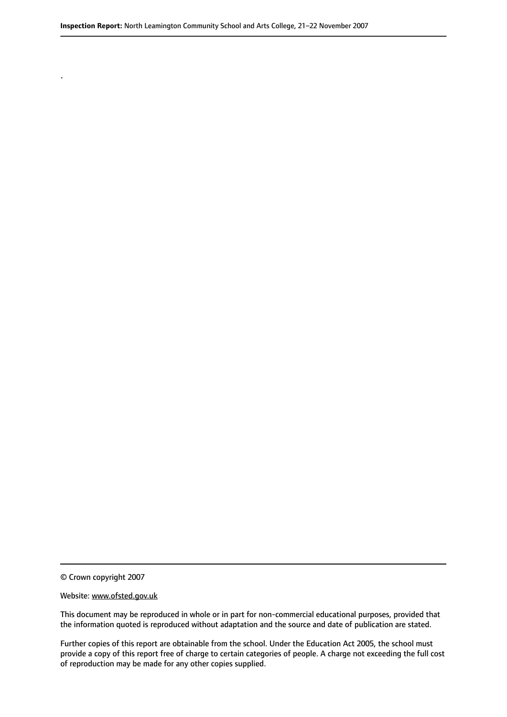© Crown copyright 2007

.

#### Website: www.ofsted.gov.uk

This document may be reproduced in whole or in part for non-commercial educational purposes, provided that the information quoted is reproduced without adaptation and the source and date of publication are stated.

Further copies of this report are obtainable from the school. Under the Education Act 2005, the school must provide a copy of this report free of charge to certain categories of people. A charge not exceeding the full cost of reproduction may be made for any other copies supplied.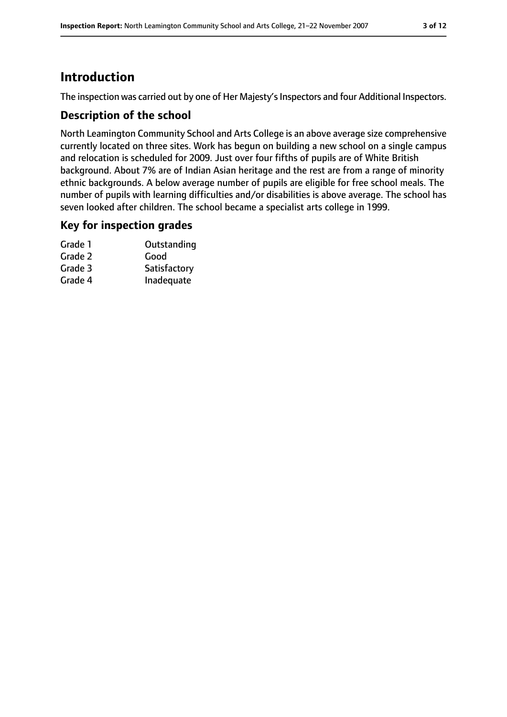## **Introduction**

The inspection was carried out by one of Her Majesty's Inspectors and four Additional Inspectors.

#### **Description of the school**

North Leamington Community School and Arts College is an above average size comprehensive currently located on three sites. Work has begun on building a new school on a single campus and relocation is scheduled for 2009. Just over four fifths of pupils are of White British background. About 7% are of Indian Asian heritage and the rest are from a range of minority ethnic backgrounds. A below average number of pupils are eligible for free school meals. The number of pupils with learning difficulties and/or disabilities is above average. The school has seven looked after children. The school became a specialist arts college in 1999.

#### **Key for inspection grades**

| Outstanding  |
|--------------|
| Good         |
| Satisfactory |
| Inadequate   |
|              |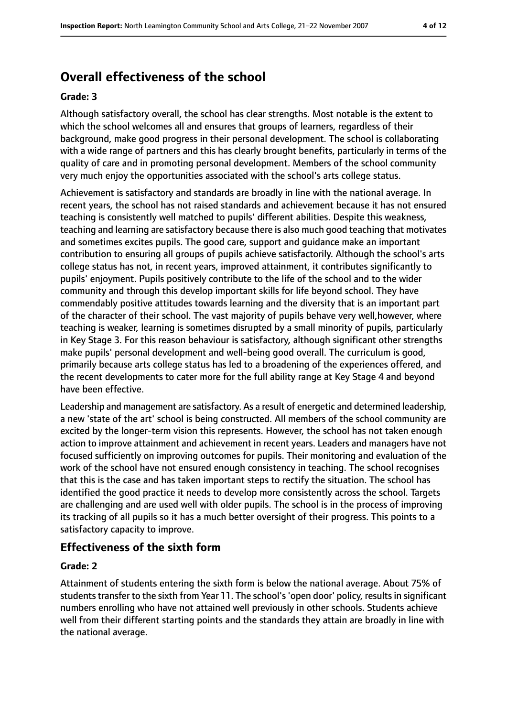## **Overall effectiveness of the school**

#### **Grade: 3**

Although satisfactory overall, the school has clear strengths. Most notable is the extent to which the school welcomes all and ensures that groups of learners, regardless of their background, make good progress in their personal development. The school is collaborating with a wide range of partners and this has clearly brought benefits, particularly in terms of the quality of care and in promoting personal development. Members of the school community very much enjoy the opportunities associated with the school's arts college status.

Achievement is satisfactory and standards are broadly in line with the national average. In recent years, the school has not raised standards and achievement because it has not ensured teaching is consistently well matched to pupils' different abilities. Despite this weakness, teaching and learning are satisfactory because there is also much good teaching that motivates and sometimes excites pupils. The good care, support and guidance make an important contribution to ensuring all groups of pupils achieve satisfactorily. Although the school's arts college status has not, in recent years, improved attainment, it contributes significantly to pupils' enjoyment. Pupils positively contribute to the life of the school and to the wider community and through this develop important skills for life beyond school. They have commendably positive attitudes towards learning and the diversity that is an important part of the character of their school. The vast majority of pupils behave very well,however, where teaching is weaker, learning is sometimes disrupted by a small minority of pupils, particularly in Key Stage 3. For this reason behaviour is satisfactory, although significant other strengths make pupils' personal development and well-being good overall. The curriculum is good, primarily because arts college status has led to a broadening of the experiences offered, and the recent developments to cater more for the full ability range at Key Stage 4 and beyond have been effective.

Leadership and management are satisfactory. As a result of energetic and determined leadership, a new 'state of the art' school is being constructed. All members of the school community are excited by the longer-term vision this represents. However, the school has not taken enough action to improve attainment and achievement in recent years. Leaders and managers have not focused sufficiently on improving outcomes for pupils. Their monitoring and evaluation of the work of the school have not ensured enough consistency in teaching. The school recognises that this is the case and has taken important steps to rectify the situation. The school has identified the good practice it needs to develop more consistently across the school. Targets are challenging and are used well with older pupils. The school is in the process of improving its tracking of all pupils so it has a much better oversight of their progress. This points to a satisfactory capacity to improve.

#### **Effectiveness of the sixth form**

#### **Grade: 2**

Attainment of students entering the sixth form is below the national average. About 75% of students transfer to the sixth from Year 11. The school's 'open door' policy, results in significant numbers enrolling who have not attained well previously in other schools. Students achieve well from their different starting points and the standards they attain are broadly in line with the national average.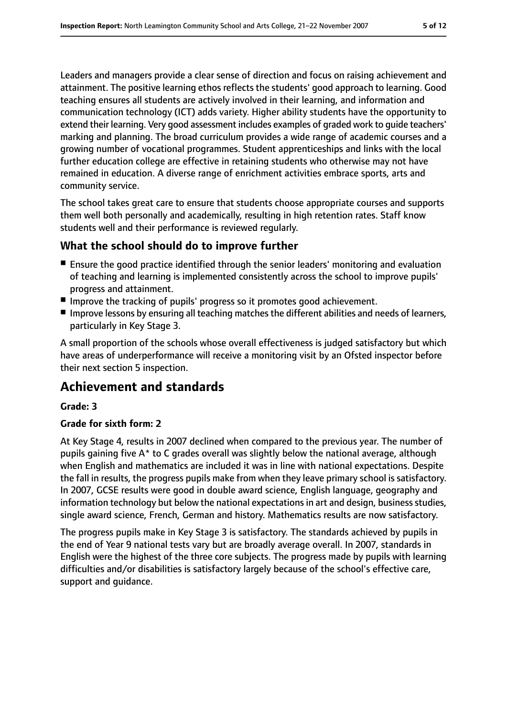Leaders and managers provide a clear sense of direction and focus on raising achievement and attainment. The positive learning ethos reflects the students' good approach to learning. Good teaching ensures all students are actively involved in their learning, and information and communication technology (ICT) adds variety. Higher ability students have the opportunity to extend their learning. Very good assessment includes examples of graded work to guide teachers' marking and planning. The broad curriculum provides a wide range of academic courses and a growing number of vocational programmes. Student apprenticeships and links with the local further education college are effective in retaining students who otherwise may not have remained in education. A diverse range of enrichment activities embrace sports, arts and community service.

The school takes great care to ensure that students choose appropriate courses and supports them well both personally and academically, resulting in high retention rates. Staff know students well and their performance is reviewed regularly.

#### **What the school should do to improve further**

- Ensure the good practice identified through the senior leaders' monitoring and evaluation of teaching and learning is implemented consistently across the school to improve pupils' progress and attainment.
- Improve the tracking of pupils' progress so it promotes good achievement.
- Improve lessons by ensuring all teaching matches the different abilities and needs of learners, particularly in Key Stage 3.

A small proportion of the schools whose overall effectiveness is judged satisfactory but which have areas of underperformance will receive a monitoring visit by an Ofsted inspector before their next section 5 inspection.

## **Achievement and standards**

#### **Grade: 3**

#### **Grade for sixth form: 2**

At Key Stage 4, results in 2007 declined when compared to the previous year. The number of pupils gaining five A\* to C grades overall was slightly below the national average, although when English and mathematics are included it was in line with national expectations. Despite the fall in results, the progress pupils make from when they leave primary school is satisfactory. In 2007, GCSE results were good in double award science, English language, geography and information technology but below the national expectations in art and design, business studies, single award science, French, German and history. Mathematics results are now satisfactory.

The progress pupils make in Key Stage 3 is satisfactory. The standards achieved by pupils in the end of Year 9 national tests vary but are broadly average overall. In 2007, standards in English were the highest of the three core subjects. The progress made by pupils with learning difficulties and/or disabilities is satisfactory largely because of the school's effective care, support and guidance.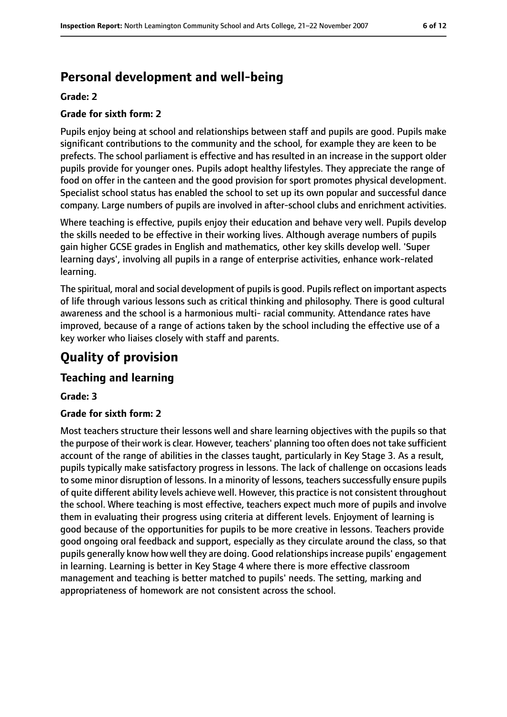## **Personal development and well-being**

#### **Grade: 2**

#### **Grade for sixth form: 2**

Pupils enjoy being at school and relationships between staff and pupils are good. Pupils make significant contributions to the community and the school, for example they are keen to be prefects. The school parliament is effective and has resulted in an increase in the support older pupils provide for younger ones. Pupils adopt healthy lifestyles. They appreciate the range of food on offer in the canteen and the good provision for sport promotes physical development. Specialist school status has enabled the school to set up its own popular and successful dance company. Large numbers of pupils are involved in after-school clubs and enrichment activities.

Where teaching is effective, pupils enjoy their education and behave very well. Pupils develop the skills needed to be effective in their working lives. Although average numbers of pupils gain higher GCSE grades in English and mathematics, other key skills develop well. 'Super learning days', involving all pupils in a range of enterprise activities, enhance work-related learning.

The spiritual, moral and social development of pupilsis good. Pupilsreflect on important aspects of life through various lessons such as critical thinking and philosophy. There is good cultural awareness and the school is a harmonious multi- racial community. Attendance rates have improved, because of a range of actions taken by the school including the effective use of a key worker who liaises closely with staff and parents.

## **Quality of provision**

#### **Teaching and learning**

**Grade: 3**

#### **Grade for sixth form: 2**

Most teachers structure their lessons well and share learning objectives with the pupils so that the purpose of their work is clear. However, teachers' planning too often does not take sufficient account of the range of abilities in the classes taught, particularly in Key Stage 3. As a result, pupils typically make satisfactory progress in lessons. The lack of challenge on occasions leads to some minor disruption of lessons. In a minority of lessons, teachers successfully ensure pupils of quite different ability levels achieve well. However, this practice is not consistent throughout the school. Where teaching is most effective, teachers expect much more of pupils and involve them in evaluating their progress using criteria at different levels. Enjoyment of learning is good because of the opportunities for pupils to be more creative in lessons. Teachers provide good ongoing oral feedback and support, especially as they circulate around the class, so that pupils generally know how well they are doing. Good relationshipsincrease pupils' engagement in learning. Learning is better in Key Stage 4 where there is more effective classroom management and teaching is better matched to pupils' needs. The setting, marking and appropriateness of homework are not consistent across the school.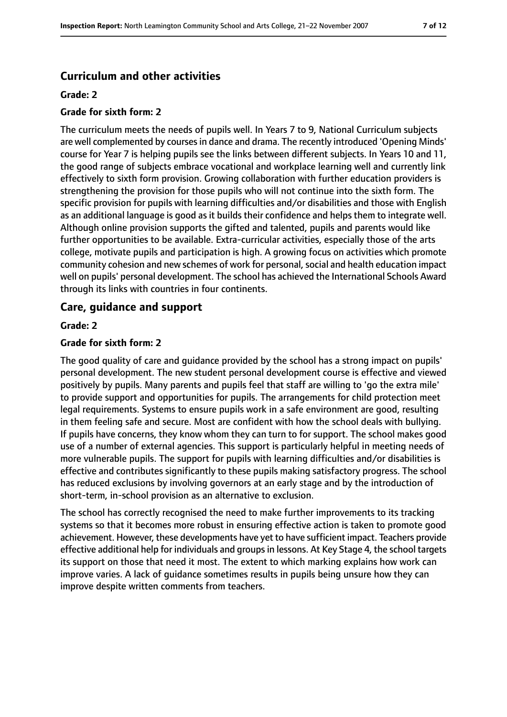### **Curriculum and other activities**

#### **Grade: 2**

#### **Grade for sixth form: 2**

The curriculum meets the needs of pupils well. In Years 7 to 9, National Curriculum subjects are well complemented by courses in dance and drama. The recently introduced 'Opening Minds' course for Year 7 is helping pupils see the links between different subjects. In Years 10 and 11, the good range of subjects embrace vocational and workplace learning well and currently link effectively to sixth form provision. Growing collaboration with further education providers is strengthening the provision for those pupils who will not continue into the sixth form. The specific provision for pupils with learning difficulties and/or disabilities and those with English as an additional language is good as it builds their confidence and helps them to integrate well. Although online provision supports the gifted and talented, pupils and parents would like further opportunities to be available. Extra-curricular activities, especially those of the arts college, motivate pupils and participation is high. A growing focus on activities which promote community cohesion and new schemes of work for personal, social and health education impact well on pupils' personal development. The school has achieved the International Schools Award through its links with countries in four continents.

#### **Care, guidance and support**

#### **Grade: 2**

#### **Grade for sixth form: 2**

The good quality of care and guidance provided by the school has a strong impact on pupils' personal development. The new student personal development course is effective and viewed positively by pupils. Many parents and pupils feel that staff are willing to 'go the extra mile' to provide support and opportunities for pupils. The arrangements for child protection meet legal requirements. Systems to ensure pupils work in a safe environment are good, resulting in them feeling safe and secure. Most are confident with how the school deals with bullying. If pupils have concerns, they know whom they can turn to for support. The school makes good use of a number of external agencies. This support is particularly helpful in meeting needs of more vulnerable pupils. The support for pupils with learning difficulties and/or disabilities is effective and contributes significantly to these pupils making satisfactory progress. The school has reduced exclusions by involving governors at an early stage and by the introduction of short-term, in-school provision as an alternative to exclusion.

The school has correctly recognised the need to make further improvements to its tracking systems so that it becomes more robust in ensuring effective action is taken to promote good achievement. However, these developments have yet to have sufficient impact. Teachers provide effective additional help for individuals and groups in lessons. At Key Stage 4, the school targets its support on those that need it most. The extent to which marking explains how work can improve varies. A lack of guidance sometimes results in pupils being unsure how they can improve despite written comments from teachers.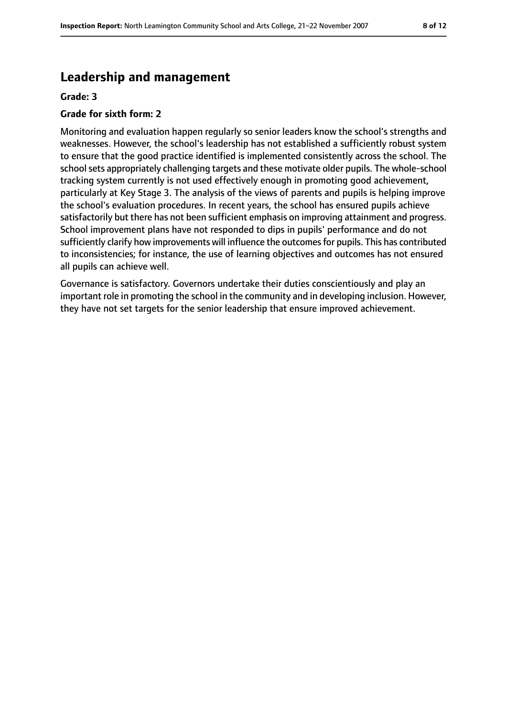## **Leadership and management**

#### **Grade: 3**

#### **Grade for sixth form: 2**

Monitoring and evaluation happen regularly so senior leaders know the school's strengths and weaknesses. However, the school's leadership has not established a sufficiently robust system to ensure that the good practice identified is implemented consistently across the school. The school sets appropriately challenging targets and these motivate older pupils. The whole-school tracking system currently is not used effectively enough in promoting good achievement, particularly at Key Stage 3. The analysis of the views of parents and pupils is helping improve the school's evaluation procedures. In recent years, the school has ensured pupils achieve satisfactorily but there has not been sufficient emphasis on improving attainment and progress. School improvement plans have not responded to dips in pupils' performance and do not sufficiently clarify how improvements will influence the outcomes for pupils. This has contributed to inconsistencies; for instance, the use of learning objectives and outcomes has not ensured all pupils can achieve well.

Governance is satisfactory. Governors undertake their duties conscientiously and play an important role in promoting the school in the community and in developing inclusion. However, they have not set targets for the senior leadership that ensure improved achievement.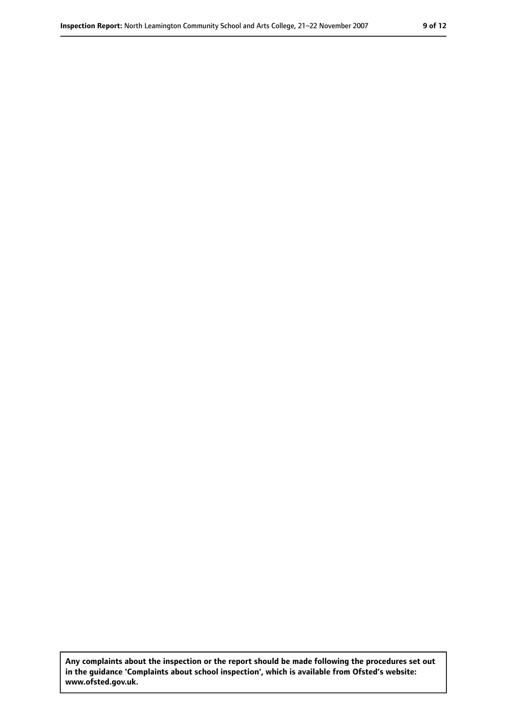**Any complaints about the inspection or the report should be made following the procedures set out in the guidance 'Complaints about school inspection', which is available from Ofsted's website: www.ofsted.gov.uk.**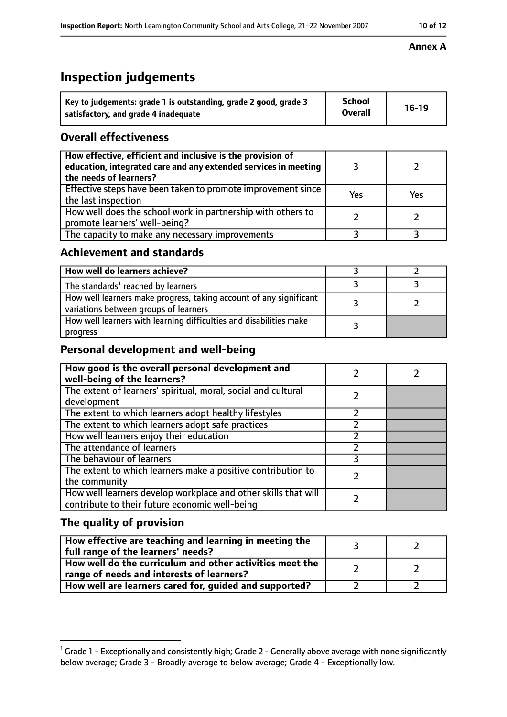## **Inspection judgements**

| Key to judgements: grade 1 is outstanding, grade 2 good, grade 3 | <b>School</b><br><b>Overall</b> | $16-19$ |
|------------------------------------------------------------------|---------------------------------|---------|
| satisfactory, and grade 4 inadequate                             |                                 |         |

## **Overall effectiveness**

| How effective, efficient and inclusive is the provision of<br>education, integrated care and any extended services in meeting<br>the needs of learners? |     |     |
|---------------------------------------------------------------------------------------------------------------------------------------------------------|-----|-----|
| Effective steps have been taken to promote improvement since<br>the last inspection                                                                     | Yes | Yes |
| How well does the school work in partnership with others to<br>promote learners' well-being?                                                            |     |     |
| The capacity to make any necessary improvements                                                                                                         |     |     |

## **Achievement and standards**

| How well do learners achieve?                                                                               |  |
|-------------------------------------------------------------------------------------------------------------|--|
| The standards <sup>1</sup> reached by learners                                                              |  |
| How well learners make progress, taking account of any significant<br>variations between groups of learners |  |
| How well learners with learning difficulties and disabilities make<br>progress                              |  |

## **Personal development and well-being**

| How good is the overall personal development and<br>well-being of the learners?                                  |  |
|------------------------------------------------------------------------------------------------------------------|--|
| The extent of learners' spiritual, moral, social and cultural<br>development                                     |  |
| The extent to which learners adopt healthy lifestyles                                                            |  |
| The extent to which learners adopt safe practices                                                                |  |
| How well learners enjoy their education                                                                          |  |
| The attendance of learners                                                                                       |  |
| The behaviour of learners                                                                                        |  |
| The extent to which learners make a positive contribution to<br>the community                                    |  |
| How well learners develop workplace and other skills that will<br>contribute to their future economic well-being |  |

## **The quality of provision**

| How effective are teaching and learning in meeting the<br>full range of the learners' needs?          |  |
|-------------------------------------------------------------------------------------------------------|--|
| How well do the curriculum and other activities meet the<br>range of needs and interests of learners? |  |
| How well are learners cared for, guided and supported?                                                |  |

#### **Annex A**

 $^1$  Grade 1 - Exceptionally and consistently high; Grade 2 - Generally above average with none significantly below average; Grade 3 - Broadly average to below average; Grade 4 - Exceptionally low.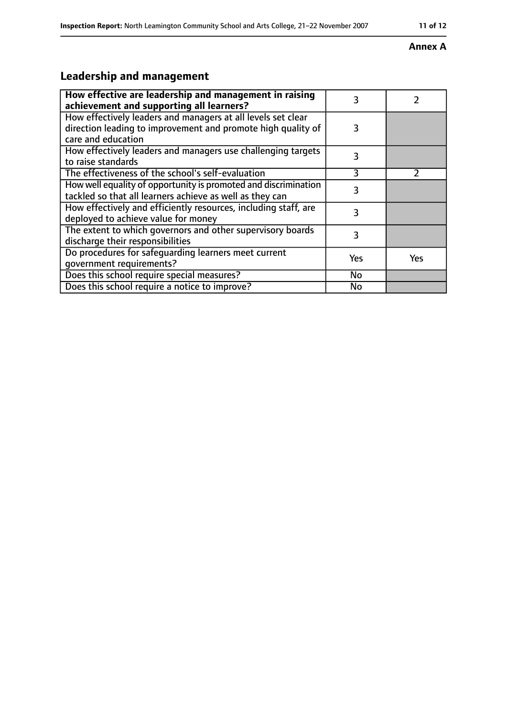#### **Annex A**

## **Leadership and management**

| How effective are leadership and management in raising<br>achievement and supporting all learners?                                                 | 3   |               |
|----------------------------------------------------------------------------------------------------------------------------------------------------|-----|---------------|
| How effectively leaders and managers at all levels set clear<br>direction leading to improvement and promote high quality of<br>care and education | 3   |               |
| How effectively leaders and managers use challenging targets<br>to raise standards                                                                 | 3   |               |
| The effectiveness of the school's self-evaluation                                                                                                  | 3   | $\mathcal{P}$ |
| How well equality of opportunity is promoted and discrimination<br>tackled so that all learners achieve as well as they can                        | 3   |               |
| How effectively and efficiently resources, including staff, are<br>deployed to achieve value for money                                             | 3   |               |
| The extent to which governors and other supervisory boards<br>discharge their responsibilities                                                     | 3   |               |
| Do procedures for safeguarding learners meet current<br>qovernment requirements?                                                                   | Yes | <b>Yes</b>    |
| Does this school require special measures?                                                                                                         | No  |               |
| Does this school require a notice to improve?                                                                                                      | No  |               |